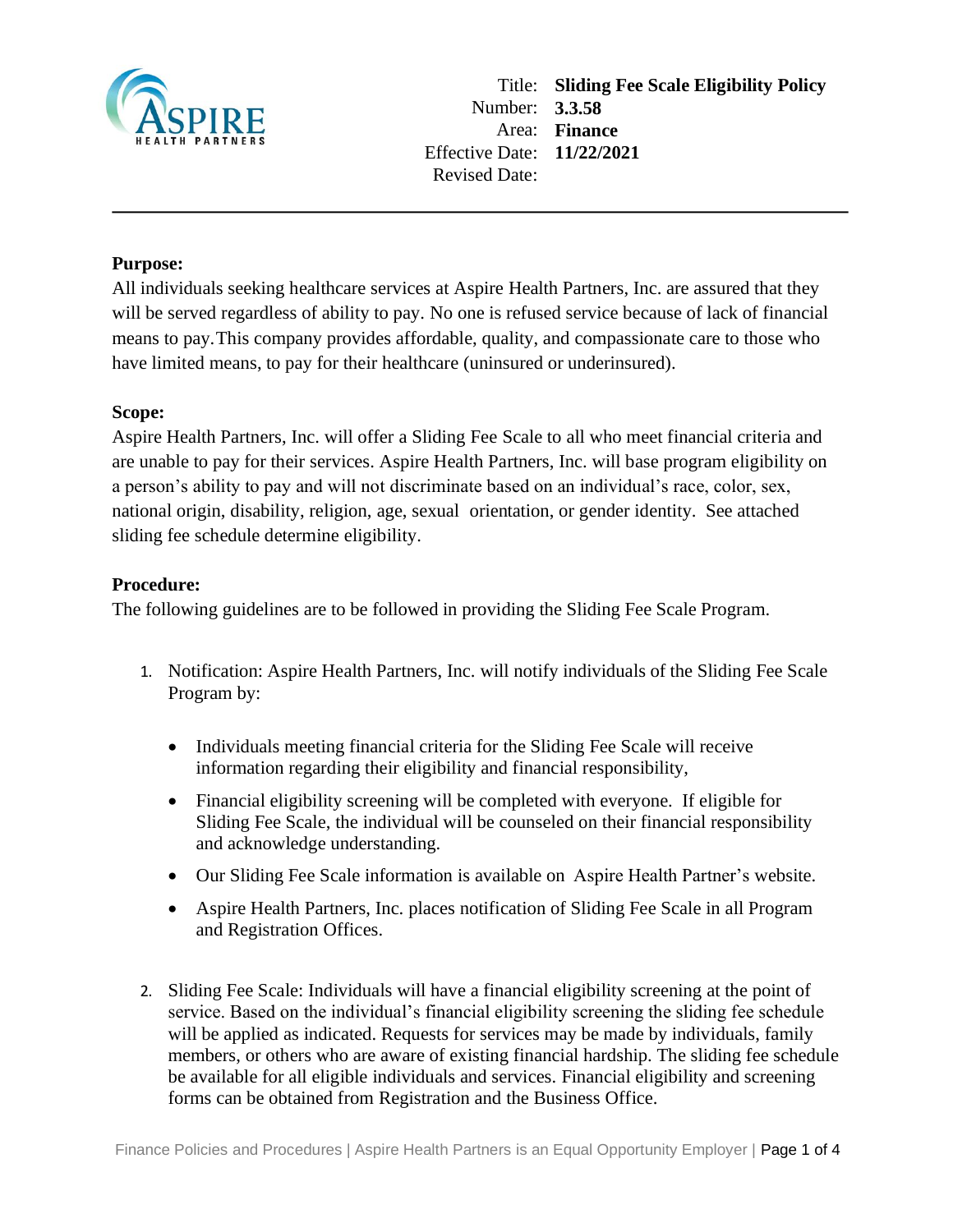

## **Purpose:**

All individuals seeking healthcare services at Aspire Health Partners, Inc. are assured that they will be served regardless of ability to pay. No one is refused service because of lack of financial means to pay.This company provides affordable, quality, and compassionate care to those who have limited means, to pay for their healthcare (uninsured or underinsured).

## **Scope:**

Aspire Health Partners, Inc. will offer a Sliding Fee Scale to all who meet financial criteria and are unable to pay for their services. Aspire Health Partners, Inc. will base program eligibility on a person's ability to pay and will not discriminate based on an individual's race, color, sex, national origin, disability, religion, age, sexual orientation, or gender identity. See attached sliding fee schedule determine eligibility.

## **Procedure:**

The following guidelines are to be followed in providing the Sliding Fee Scale Program.

- 1. Notification: Aspire Health Partners, Inc. will notify individuals of the Sliding Fee Scale Program by:
	- Individuals meeting financial criteria for the Sliding Fee Scale will receive information regarding their eligibility and financial responsibility,
	- Financial eligibility screening will be completed with everyone. If eligible for Sliding Fee Scale, the individual will be counseled on their financial responsibility and acknowledge understanding.
	- Our Sliding Fee Scale information is available on Aspire Health Partner's website.
	- Aspire Health Partners, Inc. places notification of Sliding Fee Scale in all Program and Registration Offices.
- 2. Sliding Fee Scale: Individuals will have a financial eligibility screening at the point of service. Based on the individual's financial eligibility screening the sliding fee schedule will be applied as indicated. Requests for services may be made by individuals, family members, or others who are aware of existing financial hardship. The sliding fee schedule be available for all eligible individuals and services. Financial eligibility and screening forms can be obtained from Registration and the Business Office.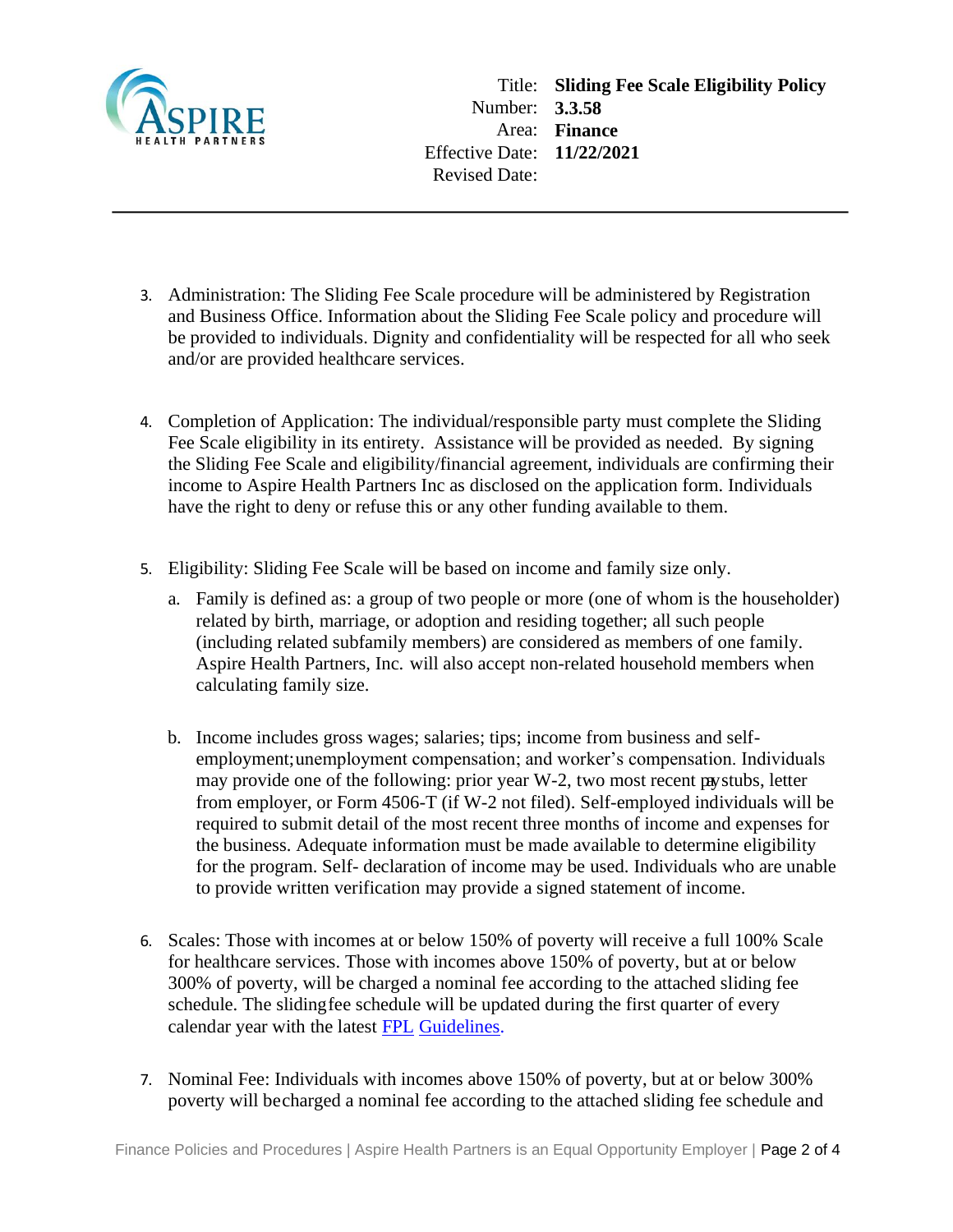

- 3. Administration: The Sliding Fee Scale procedure will be administered by Registration and Business Office. Information about the Sliding Fee Scale policy and procedure will be provided to individuals. Dignity and confidentiality will be respected for all who seek and/or are provided healthcare services.
- 4. Completion of Application: The individual/responsible party must complete the Sliding Fee Scale eligibility in its entirety. Assistance will be provided as needed. By signing the Sliding Fee Scale and eligibility/financial agreement, individuals are confirming their income to Aspire Health Partners Inc as disclosed on the application form. Individuals have the right to deny or refuse this or any other funding available to them.
- 5. Eligibility: Sliding Fee Scale will be based on income and family size only.
	- a. Family is defined as: a group of two people or more (one of whom is the householder) related by birth, marriage, or adoption and residing together; all such people (including related subfamily members) are considered as members of one family. Aspire Health Partners, Inc. will also accept non-related household members when calculating family size.
	- b. Income includes gross wages; salaries; tips; income from business and selfemployment;unemployment compensation; and worker's compensation. Individuals may provide one of the following: prior year W-2, two most recent paystubs, letter from employer, or Form 4506-T (if W-2 not filed). Self-employed individuals will be required to submit detail of the most recent three months of income and expenses for the business. Adequate information must be made available to determine eligibility for the program. Self- declaration of income may be used. Individuals who are unable to provide written verification may provide a signed statement of income.
- 6. Scales: Those with incomes at or below 150% of poverty will receive a full 100% Scale for healthcare services. Those with incomes above 150% of poverty, but at or below 300% of poverty, will be charged a nominal fee according to the attached sliding fee schedule. The slidingfee schedule will be updated during the first quarter of every calendar year with the latest FPL Guidelines.
- 7. Nominal Fee: Individuals with incomes above 150% of poverty, but at or below 300% poverty will becharged a nominal fee according to the attached sliding fee schedule and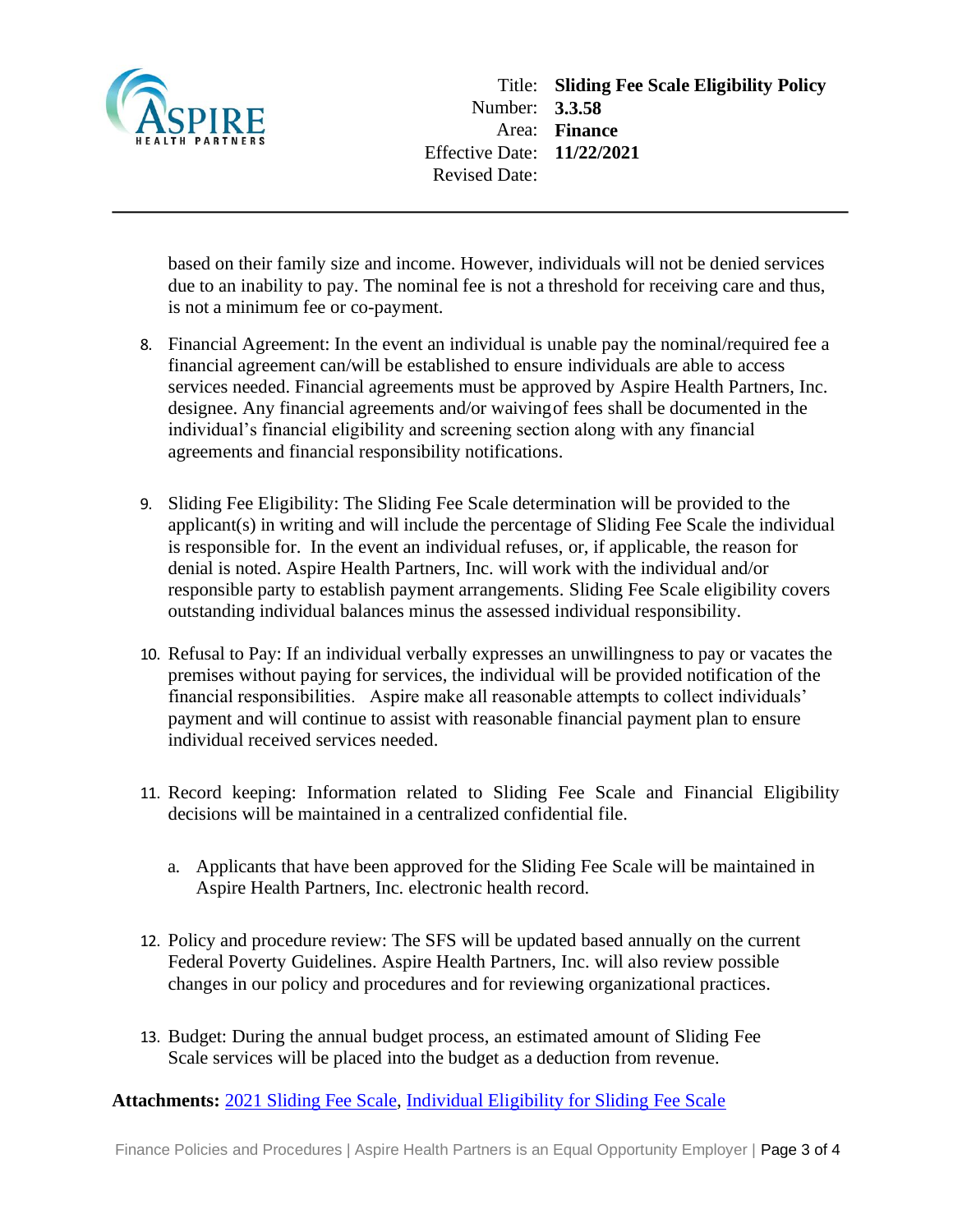

based on their family size and income. However, individuals will not be denied services due to an inability to pay. The nominal fee is not a threshold for receiving care and thus, is not a minimum fee or co-payment.

- 8. Financial Agreement: In the event an individual is unable pay the nominal/required fee a financial agreement can/will be established to ensure individuals are able to access services needed. Financial agreements must be approved by Aspire Health Partners, Inc. designee. Any financial agreements and/or waivingof fees shall be documented in the individual's financial eligibility and screening section along with any financial agreements and financial responsibility notifications.
- 9. Sliding Fee Eligibility: The Sliding Fee Scale determination will be provided to the applicant(s) in writing and will include the percentage of Sliding Fee Scale the individual is responsible for. In the event an individual refuses, or, if applicable, the reason for denial is noted. Aspire Health Partners, Inc. will work with the individual and/or responsible party to establish payment arrangements. Sliding Fee Scale eligibility covers outstanding individual balances minus the assessed individual responsibility.
- 10. Refusal to Pay: If an individual verbally expresses an unwillingness to pay or vacates the premises without paying for services, the individual will be provided notification of the financial responsibilities. Aspire make all reasonable attempts to collect individuals' payment and will continue to assist with reasonable financial payment plan to ensure individual received services needed.
- 11. Record keeping: Information related to Sliding Fee Scale and Financial Eligibility decisions will be maintained in a centralized confidential file.
	- a. Applicants that have been approved for the Sliding Fee Scale will be maintained in Aspire Health Partners, Inc. electronic health record.
- 12. Policy and procedure review: The SFS will be updated based annually on the current Federal Poverty Guidelines. Aspire Health Partners, Inc. will also review possible changes in our policy and procedures and for reviewing organizational practices.
- 13. Budget: During the annual budget process, an estimated amount of Sliding Fee Scale services will be placed into the budget as a deduction from revenue.

**Attachments:** [2021 Sliding Fee Scale,](https://aspirehealthpartners.policytech.com/dotNet/documents/?docid=12502) [Individual Eligibility for Sliding Fee Scale](https://aspirehealthpartners.policytech.com/dotNet/documents/?docid=12503)